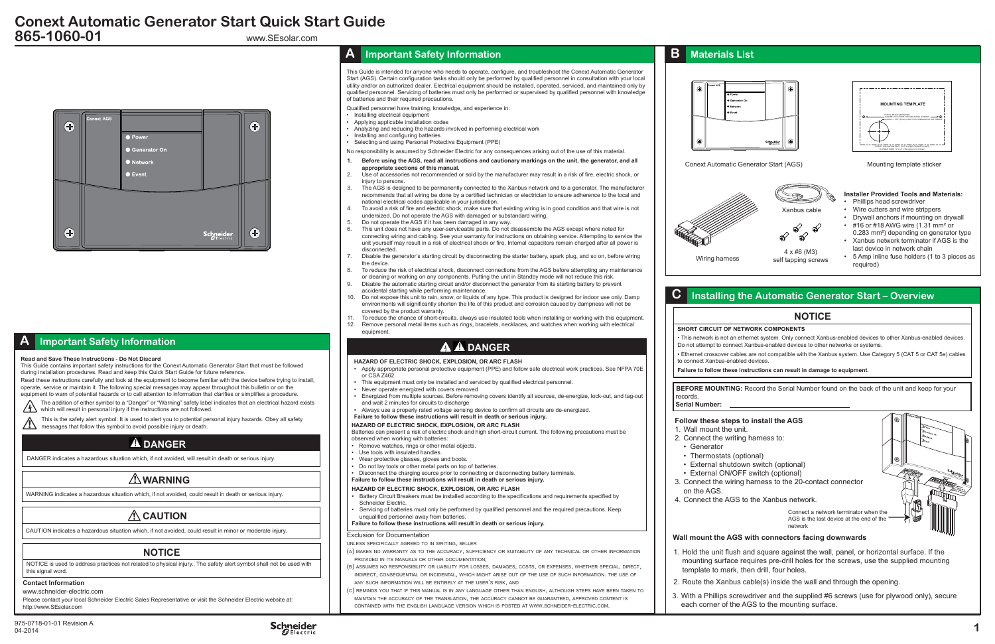### **Contact Information**

www.schneider-electric.com

Please contact your local Schneider Electric Sales Representative or visit the Schneider Electric website at: http://www.SEsolar.com

975-0718-01-01 Revision A Schneider Schneider Schneider 1<br>04-2014



www.SEsolar.com



## **Conext Automatic Generator Start Quick Start Guide 865-1060-01**

Connect a network terminator when the AGS is the last device at the end of the network

#### **SHORT CIRCUIT OF NETWORK COMPONENTS**

• This network is not an ethernet system. Only connect Xanbus-enabled devices to other Xanbus-enabled devices. Do not attempt to connect Xanbus-enabled devices to other networks or systems.

• Ethernet crossover cables are not compatible with the Xanbus system. Use Category 5 (CAT 5 or CAT 5e) cables

- 
- 
- to connect Xanbus-enabled devices.
- 

**Failure to follow these instructions can result in damage to equipment.**

**BEFORE MOUNTING:** Record the Serial Number found on the back of the unit and keep for your

## **NOTICE**

### **Follow these steps to install the AGS**

2. Connect the writing harness to:

• Thermostats (optional) • External shutdown switch (optional)

- 1. Wall mount the unit.
- 
- Generator
- 
- 
- External ON/OFF switch (optional)
- on the AGS.
- 

- -
	-

3. Connect the wiring harness to the 20-contact connector

4. Connect the AGS to the Xanbus network.



1. Hold the unit flush and square against the wall, panel, or horizontal surface. If the mounting surface requires pre-drill holes for the screws, use the supplied mounting template to mark, then drill, four holes.

2. Route the Xanbus cable(s) inside the wall and through the opening.

3. With a Phillips screwdriver and the supplied #6 screws (use for plywood only), secure each corner of the AGS to the mounting surface.















Mounting template sticker



| Installir |  |
|-----------|--|
|           |  |

Conext Automatic Generator Start (AGS)

- Remove watches, rings or other metal objects
- Use tools with insulated handles.
- Wear protective glasses, gloves and boots.
- Do not lay tools or other metal parts on top of batteries.
- Disconnect the charging source prior to connecting or disconnecting battery terminals.
- **Failure to follow these instructions will result in death or serious injury.**



4 x #6 (M3) self tapping screws

### **Installer Provided Tools and Materials:**

- Phillips head screwdriver
- Wire cutters and wire strippers
- Drywall anchors if mounting on drywall  $\cdot$  #16 or #18 AWG wire (1.31 mm<sup>2</sup> or
- 0.283 mm²) depending on generator type • Xanbus network terminator if AGS is the
- last device in network chain
- 5 Amp inline fuse holders (1 to 3 pieces as required)

## **Ing the Automatic Generator Start – Overview**

**HAZARD OF ELECTRIC SHOCK, EXPLOSION, OR ARC FLASH**

- Apply appropriate personal protective equipment (PPE) and follow safe electrical work practices. See NFPA 70E or CSA Z462.
- This equipment must only be installed and serviced by qualified electrical personnel.
- Never operate energized with covers removed
- Energized from multiple sources. Before removing covers identify all sources, de-energize, lock-out, and tag-out and wait 2 minutes for circuits to discharge
- Always use a properly rated voltage sensing device to confirm all circuits are de-energized.
- **Failure to follow these instructions will result in death or serious injury.**

#### **HAZARD OF ELECTRIC SHOCK, EXPLOSION, OR ARC FLASH**

Batteries can present a risk of electric shock and high short-circuit current. The following precautions must be observed when working with batteries:

- Installing electrical equipment • Applying applicable installation codes
- Analyzing and reducing the hazards involved in performing electrical work
- Installing and configuring batteries
- Selecting and using Personal Protective Equipment (PPE)

#### **HAZARD OF ELECTRIC SHOCK, EXPLOSION, OR ARC FLASH**

- **1. Before using the AGS, read all instructions and cautionary markings on the unit, the generator, and all appropriate sections of this manual.**
- 2. Use of accessories not recommended or sold by the manufacturer may result in a risk of fire, electric shock, or injury to persons.
- 3. The AGS is designed to be permanently connected to the Xanbus network and to a generator. The manufacturer recommends that all wiring be done by a certified technician or electrician to ensure adherence to the local and national electrical codes applicable in your jurisdiction.
- 4. To avoid a risk of fire and electric shock, make sure that existing wiring is in good condition and that wire is not undersized. Do not operate the AGS with damaged or substandard wiring.
- 5. Do not operate the AGS if it has been damaged in any way.
- This unit does not have any user-serviceable parts. Do not disassemble the AGS except where noted for connecting wiring and cabling. See your warranty for instructions on obtaining service. Attempting to service the unit yourself may result in a risk of electrical shock or fire. Internal capacitors remain charged after all power is disconnected.
- 7. Disable the generator's starting circuit by disconnecting the starter battery, spark plug, and so on, before wiring the device.
- To reduce the risk of electrical shock, disconnect connections from the AGS before attempting any maintenance or cleaning or working on any components. Putting the unit in Standby mode will not reduce this risk.
- 9. Disable the automatic starting circuit and/or disconnect the generator from its starting battery to prevent accidental starting while performing maintenance.
- 10. Do not expose this unit to rain, snow, or liquids of any type. This product is designed for indoor use only. Damp environments will significantly shorten the life of this product and corrosion caused by dampness will not be covered by the product warranty.
- 11. To reduce the chance of short-circuits, always use insulated tools when installing or working with this equipment.<br>12. Remove personal metal items such as rings, bracelets, pecklaces, and watches when working with elec Remove personal metal items such as rings, bracelets, necklaces, and watches when working with electrical equipment

## **A A** DANGER

- Battery Circuit Breakers must be installed according to the specifications and requirements specified by Schneider Electric.
- Servicing of batteries must only be performed by qualified personnel and the required precautions. Keep unqualified personnel away from batteries.

#### **Failure to follow these instructions will result in death or serious injury.**

## **A Important Safety Information**

DANGER indicates a hazardous situation which, if not avoided, will result in death or serious injury.

## **DANGER**

WARNING indicates a hazardous situation which, if not avoided, could result in death or serious injury.

## **WARNING**

CAUTION indicates a hazardous situation which, if not avoided, could result in minor or moderate injury.

## **CAUTION**

NOTICE is used to address practices not related to physical injury.. The safety alert symbol shall not be used with this signal word.

## **NOTICE**

## **A Important Safety Information**

#### **Read and Save These Instructions - Do Not Discard**

This Guide contains important safety instructions for the Conext Automatic Generator Start that must be followed during installation procedures. Read and keep this Quick Start Guide for future reference.

Read these instructions carefully and look at the equipment to become familiar with the device before trying to install, operate, service or maintain it. The following special messages may appear throughout this bulletin or on the equipment to warn of potential hazards or to call attention to information that clarifies or simplifies a procedure.

The addition of either symbol to a "Danger" or "Warning" safety label indicates that an electrical hazard exists

which will result in personal injury if the instructions are not followed.

This is the safety alert symbol. It is used to alert you to potential personal injury hazards. Obey all safety messages that follow this symbol to avoid possible injury or death.

#### Exclusion for Documentation

- UNLESS SPECIFICALLY AGREED TO IN WRITING, SELLER
- (A) MAKES NO WARRANTY AS TO THE ACCURACY, SUFFICIENCY OR SUITABILITY OF ANY TECHNICAL OR OTHER INFORMATION PROVIDED IN ITS MANUALS OR OTHER DOCUMENTATION;
- (B) ASSUMES NO RESPONSIBILITY OR LIABILITY FOR LOSSES, DAMAGES, COSTS, OR EXPENSES, WHETHER SPECIAL, DIRECT, INDIRECT, CONSEQUENTIAL OR INCIDENTAL, WHICH MIGHT ARISE OUT OF THE USE OF SUCH INFORMATION. THE USE OF ANY SUCH INFORMATION WILL BE ENTIRELY AT THE USER'<sup>S</sup> RISK, AND
- (C) REMINDS YOU THAT IF THIS MANUAL IS IN ANY LANGUAGE OTHER THAN ENGLISH, ALTHOUGH STEPS HAVE BEEN TAKEN TO MAINTAIN THE ACCURACY OF THE TRANSLATION, THE ACCURACY CANNOT BE GUARANTEED, APPROVED CONTENT IS CONTAINED WITH THE ENGLISH LANGUAGE VERSION WHICH IS POSTED AT WWW.SCHNEIDER-ELECTRIC.COM.

This Guide is intended for anyone who needs to operate, configure, and troubleshoot the Conext Automatic Generator Start (AGS). Certain configuration tasks should only be performed by qualified personnel in consultation with your local utility and/or an authorized dealer. Electrical equipment should be installed, operated, serviced, and maintained only by qualified personnel. Servicing of batteries must only be performed or supervised by qualified personnel with knowledge of batteries and their required precautions.

Qualified personnel have training, knowledge, and experience in:

No responsibility is assumed by Schneider Electric for any consequences arising out of the use of this material.

**Serial Number:** 

# records.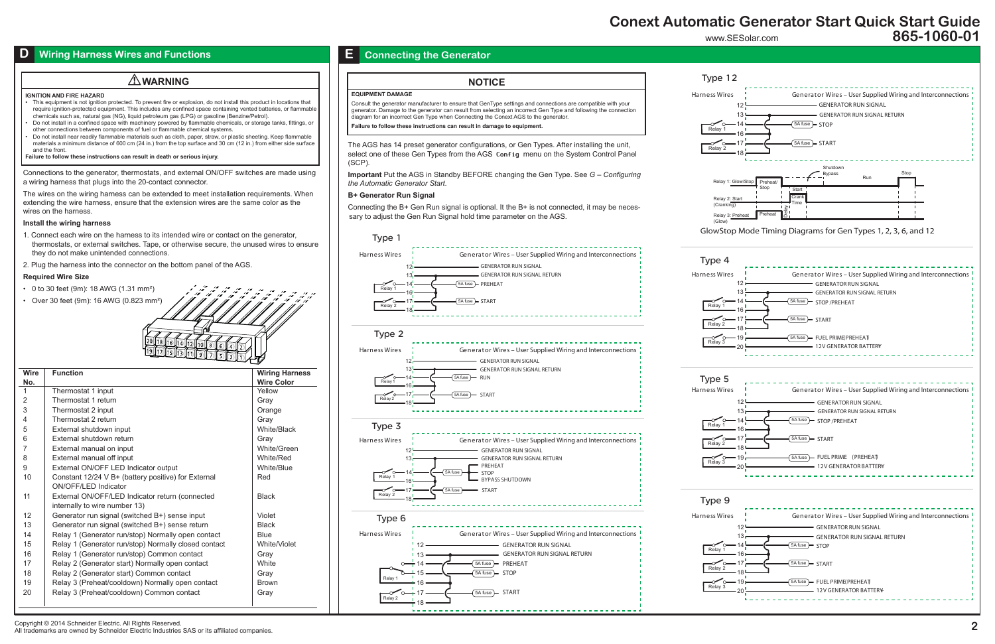Copyright © 2014 Schneider Electric. All Rights Reserved.

All trademarks are owned by Schneider Electric Industries SAS or its affiliated companies.

## www.SESolar.com **Conext Automatic Generator Start Quick Start Guide 865-1060-01**

## **Wiring Harness Wires and Functions**



GlowStop Mode Timing Diagrams for Gen Types 1, 2, 3, 6, and 12

(Glow)





Relay 2: Start  $(Cran$ 

Type 12

# Type 4

| Relay<br>1 |
|------------|
| Relay 2    |
| Relav<br>3 |

Type 5

| Relay   |
|---------|
| Relay 2 |
| Relay 3 |
|         |





# Type 9

- 0 to 30 feet (9m): 18 AWG (1.31 mm²)
- Over 30 feet (9m): 16 AWG (0.823 mm<sup>2</sup>

The AGS has 14 preset generator configurations, or Gen Types. After installing the unit, select one of these Gen Types from the AGS Config menu on the System Control Panel (SCP).

**Important** Put the AGS in Standby BEFORE changing the Gen Type. See *G – Configuring the Automatic Generator Start.*

### **B+ Generator Run Signal**

Connecting the B+ Gen Run signal is optional. It the B+ is not connected, it may be necessary to adjust the Gen Run Signal hold time parameter on the AGS.

### **EQUIPMENT DAMAGE**

Consult the generator manufacturer to ensure that GenType settings and connections are compatible with your generator. Damage to the generator can result from selecting an incorrect Gen Type and following the connection diagram for an incorrect Gen Type when Connecting the Conext AGS to the generator. **Failure to follow these instructions can result in damage to equipment.**

## **NOTICE**

## **E Connecting the Generator**

#### **IGNITION AND FIRE HAZARD**

- This equipment is not ignition protected. To prevent fire or explosion, do not install this product in locations that require ignition-protected equipment. This includes any confined space containing vented batteries, or flammable chemicals such as, natural gas (NG), liquid petroleum gas (LPG) or gasoline (Benzine/Petrol).
- Do not install in a confined space with machinery powered by flammable chemicals, or storage tanks, fittings, or other connections between components of fuel or flammable chemical systems.
- Do not install near readily flammable materials such as cloth, paper, straw, or plastic sheeting. Keep flammable materials a minimum distance of 600 cm (24 in.) from the top surface and 30 cm (12 in.) from either side surface and the front.

**Failure to follow these instructions can result in death or serious injury.**

## **WARNING**

Connections to the generator, thermostats, and external ON/OFF switches are made using a wiring harness that plugs into the 20-contact connector.

The wires on the wiring harness can be extended to meet installation requirements. When extending the wire harness, ensure that the extension wires are the same color as the wires on the harness.

### **Install the wiring harness**

- 1. Connect each wire on the harness to its intended wire or contact on the generator, thermostats, or external switches. Tape, or otherwise secure, the unused wires to ensure they do not make unintended connections.
- 2. Plug the harness into the connector on the bottom panel of the AGS.

### **Required Wire Size**

| <b>Wire</b><br>No. | <b>Function</b>                                      | <b>Wiring Harness</b><br><b>Wire Color</b> |
|--------------------|------------------------------------------------------|--------------------------------------------|
| 1                  | Thermostat 1 input                                   | Yellow                                     |
| 2                  | Thermostat 1 return                                  | Gray                                       |
| 3                  | Thermostat 2 input                                   | Orange                                     |
| 4                  | Thermostat 2 return                                  | Gray                                       |
| 5                  | External shutdown input                              | White/Black                                |
| 6                  | External shutdown return                             | Grav                                       |
| 7                  | External manual on input                             | White/Green                                |
| 8                  | External manual off input                            | White/Red                                  |
| 9                  | External ON/OFF LED Indicator output                 | White/Blue                                 |
| 10                 | Constant 12/24 V B+ (battery positive) for External  | Red                                        |
|                    | ON/OFF/LED Indicator                                 |                                            |
| 11                 | External ON/OFF/LED Indicator return (connected      | <b>Black</b>                               |
|                    | internally to wire number 13)                        |                                            |
| 12                 | Generator run signal (switched B+) sense input       | Violet                                     |
| 13                 | Generator run signal (switched B+) sense return      | <b>Black</b>                               |
| 14                 | Relay 1 (Generator run/stop) Normally open contact   | <b>Blue</b>                                |
| 15                 | Relay 1 (Generator run/stop) Normally closed contact | White/Violet                               |
| 16                 | Relay 1 (Generator run/stop) Common contact          | Gray                                       |
| 17                 | Relay 2 (Generator start) Normally open contact      | White                                      |
| 18                 | Relay 2 (Generator start) Common contact             | Gray                                       |
| 19                 | Relay 3 (Preheat/cooldown) Normally open contact     | <b>Brown</b>                               |
| 20                 | Relay 3 (Preheat/cooldown) Common contact            | Gray                                       |
|                    |                                                      |                                            |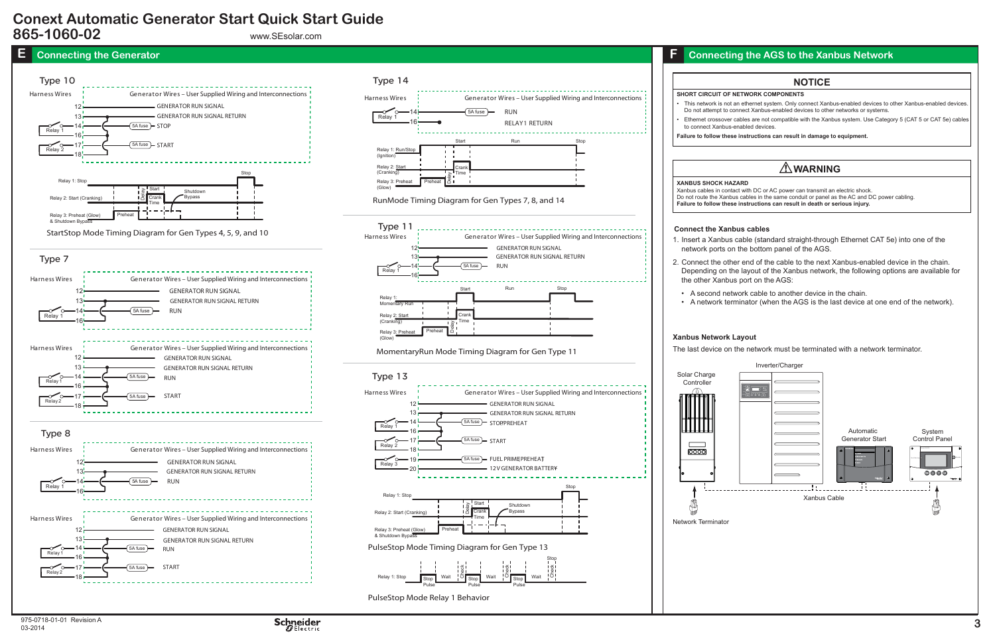#### **XANBUS SHOCK HAZARD**

Xanbus cables in contact with DC or AC power can transmit an electric shock. Do not route the Xanbus cables in the same conduit or panel as the AC and DC power cabling. **Failure to follow these instructions can result in death or serious injury.**

# **WARNING**

#### **SHORT CIRCUIT OF NETWORK COMPONENTS**

• This network is not an ethernet system. Only connect Xanbus-enabled devices to other Xanbus-enabled devices. Do not attempt to connect Xanbus-enabled devices to other networks or systems.

• Ethernet crossover cables are not compatible with the Xanbus system. Use Category 5 (CAT 5 or CAT 5e) cables to connect Xanbus-enabled devices.

**Failure to follow these instructions can result in damage to equipment.**

## **NOTICE**

### **Xanbus Network Layout**

The last device on the network must be terminated with a network terminator.



1. Insert a Xanbus cable (standard straight-through Ethernet CAT 5e) into one of the network ports on the bottom panel of the AGS.

2. Connect the other end of the cable to the next Xanbus-enabled device in the chain. Depending on the layout of the Xanbus network, the following options are available for the other Xanbus port on the AGS:

• A second network cable to another device in the chain. • A network terminator (when the AGS is the last device at one end of the network).





www.SEsolar.com

# **Conext Automatic Generator Start Quick Start Guide 865-1060-02**